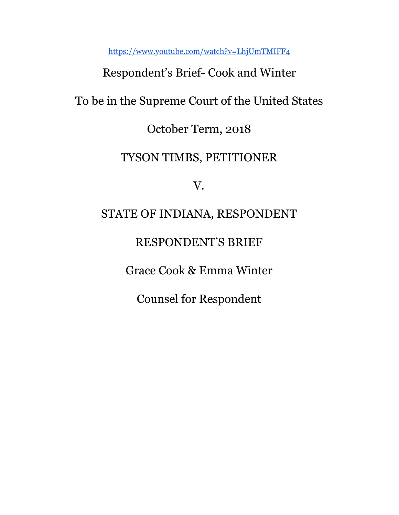<https://www.youtube.com/watch?v=LhjUmTMIFF4>

# Respondent's Brief- Cook and Winter

## To be in the Supreme Court of the United States

### October Term, 2018

### TYSON TIMBS, PETITIONER

V.

### STATE OF INDIANA, RESPONDENT

### RESPONDENT'S BRIEF

Grace Cook & Emma Winter

Counsel for Respondent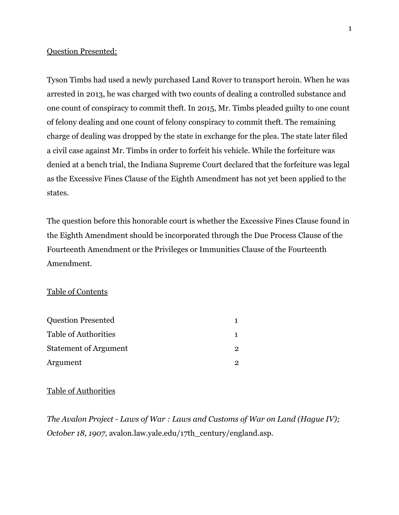#### Question Presented:

Tyson Timbs had used a newly purchased Land Rover to transport heroin. When he was arrested in 2013, he was charged with two counts of dealing a controlled substance and one count of conspiracy to commit theft. In 2015, Mr. Timbs pleaded guilty to one count of felony dealing and one count of felony conspiracy to commit theft. The remaining charge of dealing was dropped by the state in exchange for the plea. The state later filed a civil case against Mr. Timbs in order to forfeit his vehicle. While the forfeiture was denied at a bench trial, the Indiana Supreme Court declared that the forfeiture was legal as the Excessive Fines Clause of the Eighth Amendment has not yet been applied to the states.

The question before this honorable court is whether the Excessive Fines Clause found in the Eighth Amendment should be incorporated through the Due Process Clause of the Fourteenth Amendment or the Privileges or Immunities Clause of the Fourteenth Amendment.

### Table of Contents

| <b>Question Presented</b>    |  |
|------------------------------|--|
| <b>Table of Authorities</b>  |  |
| <b>Statement of Argument</b> |  |
| Argument                     |  |

#### Table of Authorities

*The Avalon Project - Laws of War : Laws and Customs of War on Land (Hague IV); October 18, 1907, avalon.law.yale.edu/17th century/england.asp.*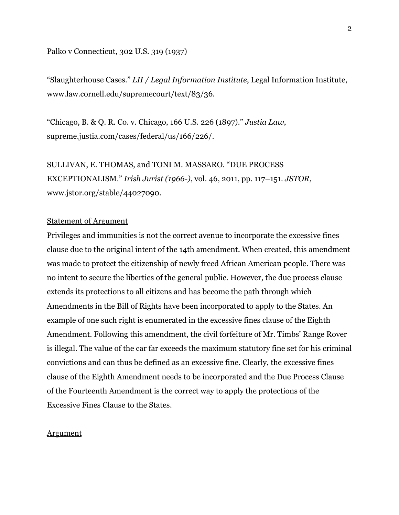Palko v Connecticut, 302 U.S. 319 (1937)

"Slaughterhouse Cases." *LII / Legal Information Institute*, Legal Information Institute, www.law.cornell.edu/supremecourt/text/83/36.

"Chicago, B. & Q. R. Co. v. Chicago, 166 U.S. 226 (1897)." *Justia Law*, supreme.justia.com/cases/federal/us/166/226/.

### SULLIVAN, E. THOMAS, and TONI M. MASSARO. "DUE PROCESS EXCEPTIONALISM." *Irish Jurist (1966-)*, vol. 46, 2011, pp. 117–151. *JSTOR*, www.jstor.org/stable/44027090.

### Statement of Argument

Privileges and immunities is not the correct avenue to incorporate the excessive fines clause due to the original intent of the 14th amendment. When created, this amendment was made to protect the citizenship of newly freed African American people. There was no intent to secure the liberties of the general public. However, the due process clause extends its protections to all citizens and has become the path through which Amendments in the Bill of Rights have been incorporated to apply to the States. An example of one such right is enumerated in the excessive fines clause of the Eighth Amendment. Following this amendment, the civil forfeiture of Mr. Timbs' Range Rover is illegal. The value of the car far exceeds the maximum statutory fine set for his criminal convictions and can thus be defined as an excessive fine. Clearly, the excessive fines clause of the Eighth Amendment needs to be incorporated and the Due Process Clause of the Fourteenth Amendment is the correct way to apply the protections of the Excessive Fines Clause to the States.

#### **Argument**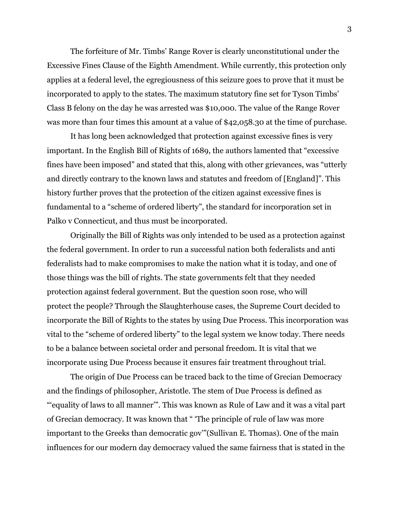The forfeiture of Mr. Timbs' Range Rover is clearly unconstitutional under the Excessive Fines Clause of the Eighth Amendment. While currently, this protection only applies at a federal level, the egregiousness of this seizure goes to prove that it must be incorporated to apply to the states. The maximum statutory fine set for Tyson Timbs' Class B felony on the day he was arrested was \$10,000. The value of the Range Rover was more than four times this amount at a value of \$42,058.30 at the time of purchase.

It has long been acknowledged that protection against excessive fines is very important. In the English Bill of Rights of 1689, the authors lamented that "excessive fines have been imposed" and stated that this, along with other grievances, was "utterly and directly contrary to the known laws and statutes and freedom of [England]". This history further proves that the protection of the citizen against excessive fines is fundamental to a "scheme of ordered liberty", the standard for incorporation set in Palko v Connecticut, and thus must be incorporated.

Originally the Bill of Rights was only intended to be used as a protection against the federal government. In order to run a successful nation both federalists and anti federalists had to make compromises to make the nation what it is today, and one of those things was the bill of rights. The state governments felt that they needed protection against federal government. But the question soon rose, who will protect the people? Through the Slaughterhouse cases, the Supreme Court decided to incorporate the Bill of Rights to the states by using Due Process. This incorporation was vital to the "scheme of ordered liberty" to the legal system we know today. There needs to be a balance between societal order and personal freedom. It is vital that we incorporate using Due Process because it ensures fair treatment throughout trial.

The origin of Due Process can be traced back to the time of Grecian Democracy and the findings of philosopher, Aristotle. The stem of Due Process is defined as "'equality of laws to all manner'". This was known as Rule of Law and it was a vital part of Grecian democracy. It was known that " 'The principle of rule of law was more important to the Greeks than democratic gov'"(Sullivan E. Thomas). One of the main influences for our modern day democracy valued the same fairness that is stated in the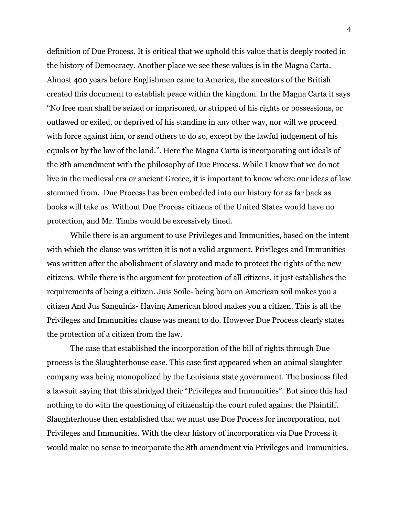definition of Due Process. It is critical that we uphold this value that is deeply rooted in the history of Democracy. Another place we see these values is in the Magna Carta. Almost 400 years before Englishmen came to America, the ancestors of the British created this document to establish peace within the kingdom. In the Magna Carta it says "No free man shall be seized or imprisoned, or stripped of his rights or possessions, or outlawed or exiled, or deprived of his standing in any other way, nor will we proceed with force against him, or send others to do so, except by the lawful judgement of his equals or by the law of the land.". Here the Magna Carta is incorporating out ideals of the 8th amendment with the philosophy of Due Process. While I know that we do not live in the medieval era or ancient Greece, it is important to know where our ideas of law stemmed from. Due Process has been embedded into our history for as far back as books will take us. Without Due Process citizens of the United States would have no protection, and Mr. Timbs would be excessively fined.

While there is an argument to use Privileges and Immunities, based on the intent with which the clause was written it is not a valid argument. Privileges and Immunities was written after the abolishment of slavery and made to protect the rights of the new citizens. While there is the argument for protection of all citizens, it just establishes the requirements of being a citizen. Juis Soile- being born on American soil makes you a citizen And Jus Sanguinis- Having American blood makes you a citizen. This is all the Privileges and Immunities clause was meant to do. However Due Process clearly states the protection of a citizen from the law.

The case that established the incorporation of the bill of rights through Due process is the Slaughterhouse case. This case first appeared when an animal slaughter company was being monopolized by the Louisiana state government. The business filed a lawsuit saying that this abridged their "Privileges and Immunities". But since this had nothing to do with the questioning of citizenship the court ruled against the Plaintiff. Slaughterhouse then established that we must use Due Process for incorporation, not Privileges and Immunities. With the clear history of incorporation via Due Process it would make no sense to incorporate the 8th amendment via Privileges and Immunities.